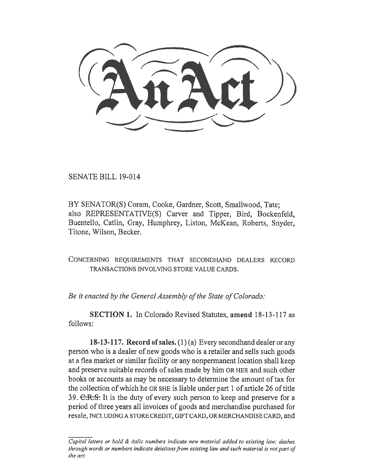SENATE BILL 19-014

BY SENATOR(S) Coram, Cooke, Gardner, Scott, Smallwood, Tate; also REPRESENTATIVE(S) Carver and Tipper, Bird, Bockenfeld, Buentello, Catlin, Gray, Humphrey, Liston, McKean, Roberts, Snyder, Titone, Wilson, Becker.

CONCERNING REQUIREMENTS THAT SECONDHAND DEALERS RECORD TRANSACTIONS INVOLVING STORE VALUE CARDS.

*Be it enacted by the General Assembly of the State of Colorado:* 

**SECTION 1.** In Colorado Revised Statutes, **amend** 18-13-117 as follows:

**18-13-117. Record of sales.** (1) (a) Every secondhand dealer or any person who is a dealer of new goods who is a retailer and sells such goods at a flea market or similar facility or any nonpermanent location shall keep and preserve suitable records of sales made by him OR HER and such other books or accounts as may be necessary to determine the amount of tax for the collection of which he OR SHE is liable under part 1 of article 26 of title 39. C.R.S. It is the duty of every such person to keep and preserve for a period of three years all invoices of goods and merchandise purchased for resale, INCLUDING A STORE CREDIT, GIFT CARD, OR MERCHANDISE CARD, and

*Capital letters or bold & italic numbers indicate new material added to existing law; dashes through words or numbers indicate deletions from existing law and such material is not part of the act.*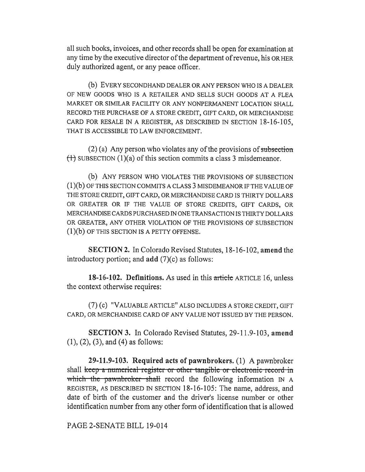all such books, invoices, and other records shall be open for examination at any time by the executive director of the department of revenue, his OR HER duly authorized agent, or any peace officer.

(b) EVERY SECONDHAND DEALER OR ANY PERSON WHO IS A DEALER OF NEW GOODS WHO IS A RETAILER AND SELLS SUCH GOODS AT A FLEA MARKET OR SIMILAR FACILITY OR ANY NONPERMANENT LOCATION SHALL RECORD THE PURCHASE OF A STORE CREDIT, GIFT CARD, OR MERCHANDISE CARD FOR RESALE IN A REGISTER, AS DESCRIBED IN SECTION 18-16-105, THAT IS ACCESSIBLE TO LAW ENFORCEMENT.

 $(2)$  (a) Any person who violates any of the provisions of subsection  $(1)$  SUBSECTION  $(1)(a)$  of this section commits a class 3 misdemeanor.

(b) ANY PERSON WHO VIOLATES THE PROVISIONS OF SUBSECTION (1)(b) OF THIS SECTION COMMITS A CLASS 3 MISDEMEANOR IF THE VALUE OF THE STORE CREDIT, GIFT CARD, OR MERCHANDISE CARD IS THIRTY DOLLARS OR GREATER OR IF THE VALUE OF STORE CREDITS, GIFT CARDS, OR MERCHANDISE CARDS PURCHASED IN ONE TRANSACTION IS THIRTY DOLLARS OR GREATER, ANY OTHER VIOLATION OF THE PROVISIONS OF SUBSECTION (1)(b) OF THIS SECTION IS A PETTY OFFENSE.

**SECTION 2.** In Colorado Revised Statutes, 18-16-102, **amend** the introductory portion; and **add** (7)(c) as follows:

**18-16-102. Definitions.** As used in this article ARTICLE 16, unless the context otherwise requires:

(7) (c) "VALUABLE ARTICLE" ALSO INCLUDES A STORE CREDIT, GIFT CARD, OR MERCHANDISE CARD OF ANY VALUE NOT ISSUED BY THE PERSON.

**SECTION 3.** In Colorado Revised Statutes, 29-11.9-103, **amend**  (1), (2), (3), and (4) as follows:

**29-11.9-103. Required acts of pawnbrokers. (1)** A pawnbroker shall keep a numerical register or other tangible or electronic record in which the pawnbroker shall record the following information  $IN A$ REGISTER, AS DESCRIBED IN SECTION 18-16-105: The name, address, and date of birth of the customer and the driver's license number or other identification number from any other form of identification that is allowed

PAGE 2-SENATE BILL 19-014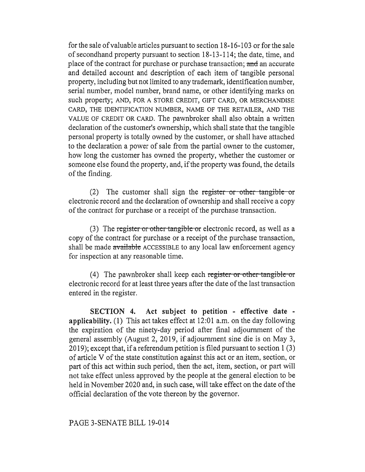for the sale of valuable articles pursuant to section 18-16-103 or for the sale of secondhand property pursuant to section 18-13-114; the date, time, and place of the contract for purchase or purchase transaction; and an accurate and detailed account and description of each item of tangible personal property, including but not limited to any trademark, identification number, serial number, model number, brand name, or other identifying marks on such property; AND, FOR A STORE CREDIT, GIFT CARD, OR MERCHANDISE CARD, THE IDENTIFICATION NUMBER, NAME OF THE RETAILER, AND THE VALUE OF CREDIT OR CARD. The pawnbroker shall also obtain a written declaration of the customer's ownership, which shall state that the tangible personal property is totally owned by the customer, or shall have attached to the declaration a power of sale from the partial owner to the customer, how long the customer has owned the property, whether the customer or someone else found the property, and, if the property was found, the details of the finding.

(2) The customer shall sign the register or other tangible or electronic record and the declaration of ownership and shall receive a copy of the contract for purchase or a receipt of the purchase transaction.

(3) The register or other tangible or electronic record, as well as a copy of the contract for purchase or a receipt of the purchase transaction, shall be made available ACCESSIBLE to any local law enforcement agency for inspection at any reasonable time.

(4) The pawnbroker shall keep each register or other tangible or electronic record for at least three years after the date of the last transaction entered in the register.

**SECTION 4. Act subject to petition - effective date applicability.** (1) This act takes effect at 12:01 a.m. on the day following the expiration of the ninety-day period after final adjournment of the general assembly (August 2, 2019, if adjournment sine die is on May 3, 2019); except that, if a referendum petition is filed pursuant to section 1(3) of article V of the state constitution against this act or an item, section, or part of this act within such period, then the act, item, section, or part will not take effect unless approved by the people at the general election to be held in November 2020 and, in such case, will take effect on the date of the official declaration of the vote thereon by the governor.

## PAGE 3-SENATE BILL 19-014